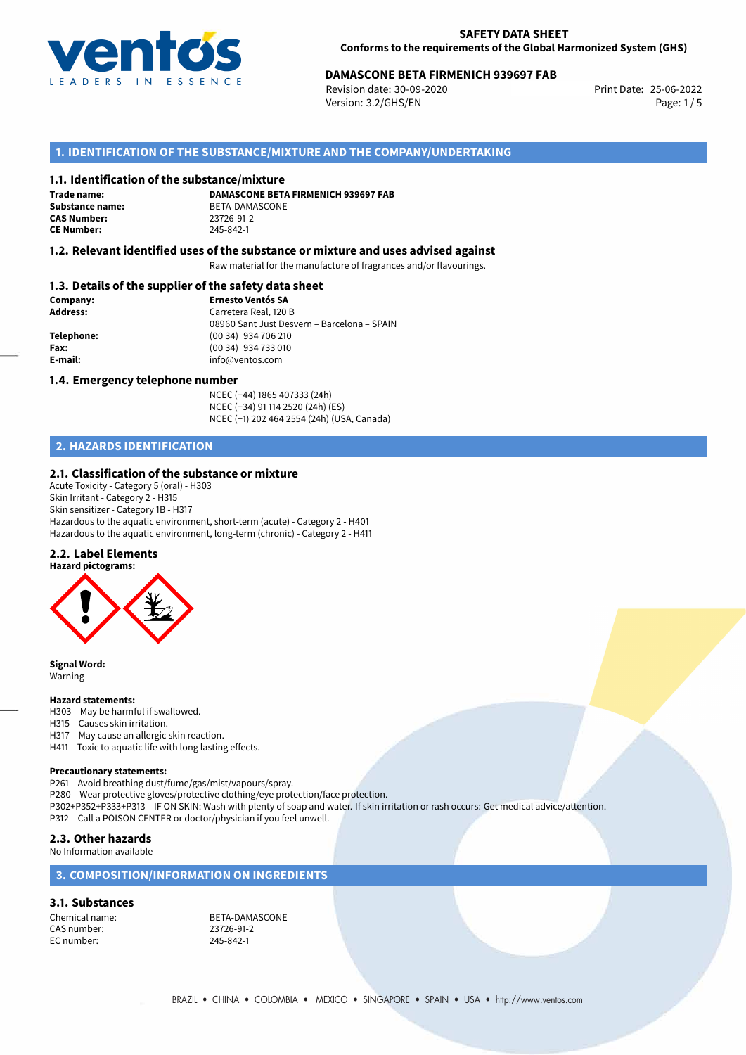

# **DAMASCONE BETA FIRMENICH 939697 FAB**<br>Revision date: 30-09-2020<br>Print Date: 25-06-2022

Revision date: 30-09-2020 Version: 3.2/GHS/EN Page: 1/5

# **1. IDENTIFICATION OF THE SUBSTANCE/MIXTURE AND THE COMPANY/UNDERTAKING**

## **1.1. Identification of the substance/mixture**

**Trade name: CAS Number: CE Number:** 245-842-1

**DAMASCONE BETA FIRMENICH 939697 FAB Substance name:** BETA-DAMASCONE<br> **CAS Number:** 23726-91-2

## **1.2. Relevant identified uses of the substance or mixture and uses advised against**

Raw material for the manufacture of fragrances and/or flavourings.

## **1.3. Details of the supplier of the safety data sheet**

| Company:        | <b>Ernesto Ventós SA</b>                    |
|-----------------|---------------------------------------------|
| <b>Address:</b> | Carretera Real, 120 B                       |
|                 | 08960 Sant Just Desvern - Barcelona - SPAIN |
| Telephone:      | (00 34) 934 706 210                         |
| Fax:            | (00 34) 934 733 010                         |
| E-mail:         | info@ventos.com                             |
|                 |                                             |

### **1.4. Emergency telephone number**

NCEC (+44) 1865 407333 (24h) NCEC (+34) 91 114 2520 (24h) (ES) NCEC (+1) 202 464 2554 (24h) (USA, Canada)

# **2. HAZARDS IDENTIFICATION**

### **2.1. Classification of the substance or mixture**

Acute Toxicity - Category 5 (oral) - H303 Skin Irritant - Category 2 - H315 Skin sensitizer - Category 1B - H317 Hazardous to the aquatic environment, short-term (acute) - Category 2 - H401 Hazardous to the aquatic environment, long-term (chronic) - Category 2 - H411

#### **2.2. Label Elements**

**Hazard pictograms:**



**Signal Word:** Warning

#### **Hazard statements:**

- H303 May be harmful if swallowed.
- H315 Causes skin irritation.
- H317 May cause an allergic skin reaction.
- H411 Toxic to aquatic life with long lasting effects.

#### **Precautionary statements:**

P261 – Avoid breathing dust/fume/gas/mist/vapours/spray.

- P280 Wear protective gloves/protective clothing/eye protection/face protection.
- P302+P352+P333+P313 IF ON SKIN: Wash with plenty of soap and water. If skin irritation or rash occurs: Get medical advice/attention. P312 – Call a POISON CENTER or doctor/physician if you feel unwell.

## **2.3. Other hazards**

#### No Information available

# **3. COMPOSITION/INFORMATION ON INGREDIENTS**

### **3.1. Substances**

CAS number: EC number: 245-842-1

Chemical name:<br>
CAS number:<br>
CAS number:<br>
23726-91-2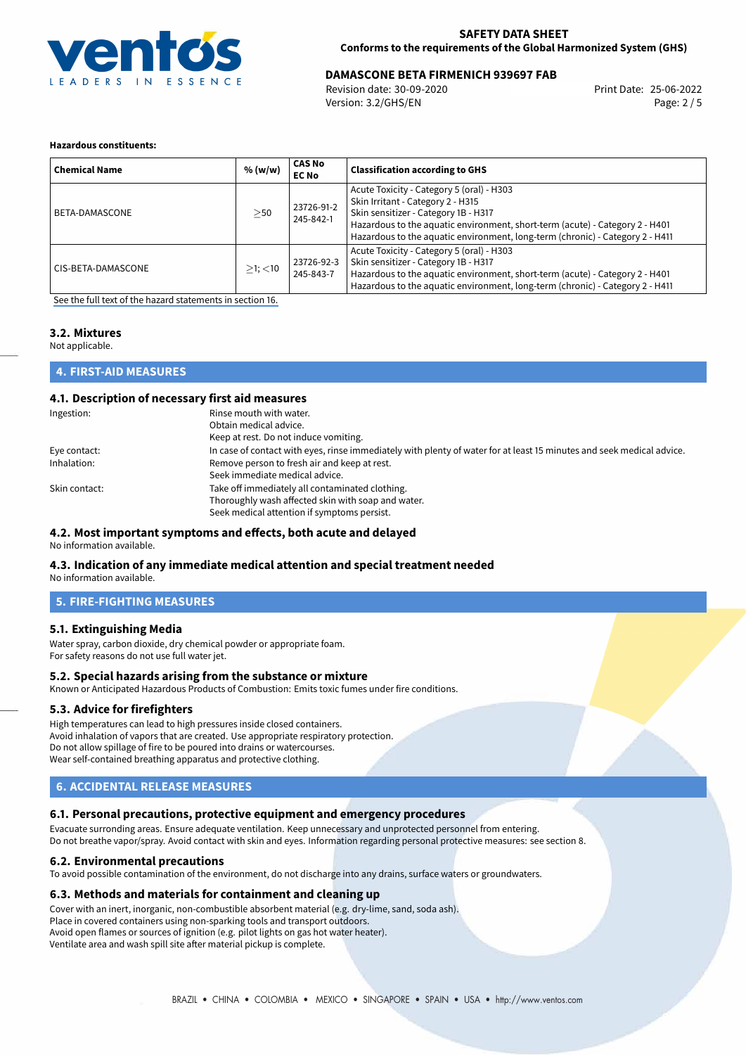

# **DAMASCONE BETA FIRMENICH 939697 FAB**<br>Revision date: 30-09-2020<br>Print Date: 25-06-2022

Revision date: 30-09-2020 Version: 3.2/GHS/EN Page: 2 / 5

## **Hazardous constituents:**

| <b>Chemical Name</b> | % (w/w)       | CAS No<br><b>EC No</b>  | <b>Classification according to GHS</b>                                                                                                                                                                                                                                                  |
|----------------------|---------------|-------------------------|-----------------------------------------------------------------------------------------------------------------------------------------------------------------------------------------------------------------------------------------------------------------------------------------|
| BETA-DAMASCONE       | >50           | 23726-91-2<br>245-842-1 | Acute Toxicity - Category 5 (oral) - H303<br>Skin Irritant - Category 2 - H315<br>Skin sensitizer - Category 1B - H317<br>Hazardous to the aquatic environment, short-term (acute) - Category 2 - H401<br>Hazardous to the aquatic environment, long-term (chronic) - Category 2 - H411 |
| CIS-BETA-DAMASCONE   | $>1$ ; $<$ 10 | 23726-92-3<br>245-843-7 | Acute Toxicity - Category 5 (oral) - H303<br>Skin sensitizer - Category 1B - H317<br>Hazardous to the aquatic environment, short-term (acute) - Category 2 - H401<br>Hazardous to the aquatic environment, long-term (chronic) - Category 2 - H411                                      |

[See the full text of the hazard statements in section 16.](#page-4-0)

# **3.2. Mixtures**

Not applicable.

## **4. FIRST-AID MEASURES**

## **4.1. Description of necessary first aid measures**

| Ingestion:    | Rinse mouth with water.                                                                                               |
|---------------|-----------------------------------------------------------------------------------------------------------------------|
|               | Obtain medical advice.                                                                                                |
|               | Keep at rest. Do not induce vomiting.                                                                                 |
| Eye contact:  | In case of contact with eyes, rinse immediately with plenty of water for at least 15 minutes and seek medical advice. |
| Inhalation:   | Remove person to fresh air and keep at rest.                                                                          |
|               | Seek immediate medical advice.                                                                                        |
| Skin contact: | Take off immediately all contaminated clothing.                                                                       |
|               | Thoroughly wash affected skin with soap and water.                                                                    |
|               | Seek medical attention if symptoms persist.                                                                           |

## **4.2. Most important symptoms and effects, both acute and delayed**

No information available.

## **4.3. Indication of any immediate medical attention and special treatment needed**

No information available.

## **5. FIRE-FIGHTING MEASURES**

## **5.1. Extinguishing Media**

Water spray, carbon dioxide, dry chemical powder or appropriate foam. For safety reasons do not use full water jet.

### **5.2. Special hazards arising from the substance or mixture**

Known or Anticipated Hazardous Products of Combustion: Emits toxic fumes under fire conditions.

## **5.3. Advice for firefighters**

High temperatures can lead to high pressures inside closed containers. Avoid inhalation of vapors that are created. Use appropriate respiratory protection. Do not allow spillage of fire to be poured into drains or watercourses. Wear self-contained breathing apparatus and protective clothing.

# **6. ACCIDENTAL RELEASE MEASURES**

## **6.1. Personal precautions, protective equipment and emergency procedures**

Evacuate surronding areas. Ensure adequate ventilation. Keep unnecessary and unprotected personnel from entering. Do not breathe vapor/spray. Avoid contact with skin and eyes. Information regarding personal protective measures: see section 8.

## **6.2. Environmental precautions**

To avoid possible contamination of the environment, do not discharge into any drains, surface waters or groundwaters.

### **6.3. Methods and materials for containment and cleaning up**

Cover with an inert, inorganic, non-combustible absorbent material (e.g. dry-lime, sand, soda ash). Place in covered containers using non-sparking tools and transport outdoors. Avoid open flames or sources of ignition (e.g. pilot lights on gas hot water heater). Ventilate area and wash spill site after material pickup is complete.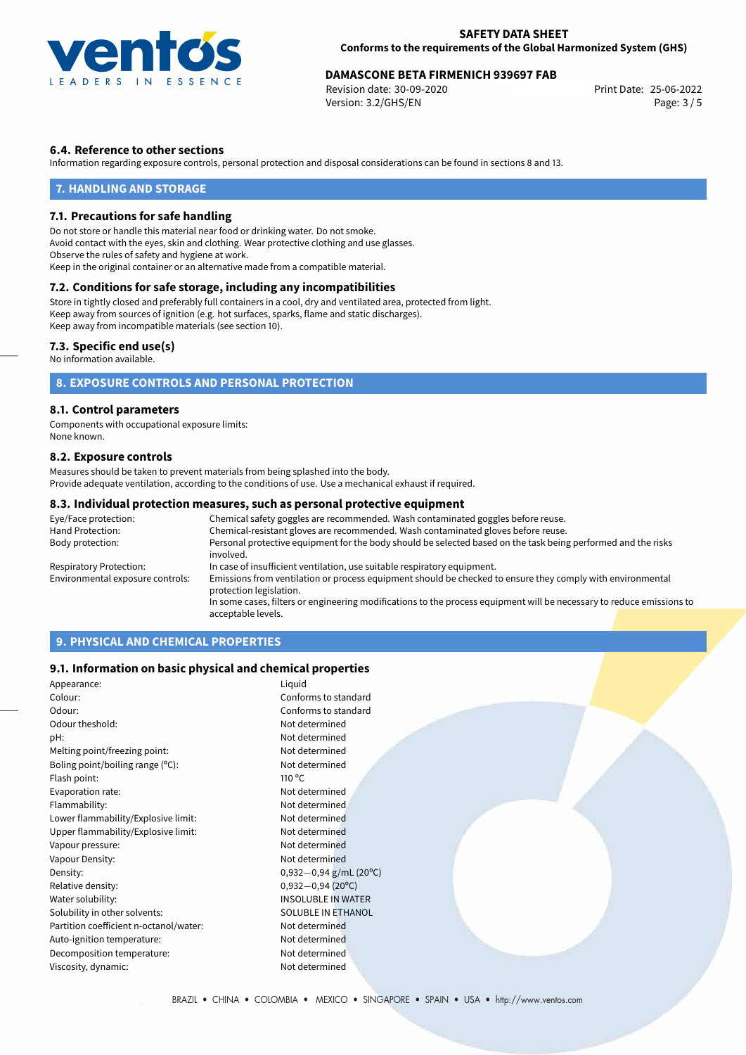

# **DAMASCONE BETA FIRMENICH 939697 FAB**<br>25-06-2022 Print Date: 25-06-2022

Revision date: 30-09-2020 Version: 3.2/GHS/EN Page: 3 / 5

# **6.4. Reference to other sections**

Information regarding exposure controls, personal protection and disposal considerations can be found in sections 8 and 13.

## **7. HANDLING AND STORAGE**

## **7.1. Precautions for safe handling**

Do not store or handle this material near food or drinking water. Do not smoke. Avoid contact with the eyes, skin and clothing. Wear protective clothing and use glasses. Observe the rules of safety and hygiene at work. Keep in the original container or an alternative made from a compatible material.

# **7.2. Conditions for safe storage, including any incompatibilities**

Store in tightly closed and preferably full containers in a cool, dry and ventilated area, protected from light. Keep away from sources of ignition (e.g. hot surfaces, sparks, flame and static discharges). Keep away from incompatible materials (see section 10).

## **7.3. Specific end use(s)**

No information available.

# **8. EXPOSURE CONTROLS AND PERSONAL PROTECTION**

## **8.1. Control parameters**

Components with occupational exposure limits: None known.

## **8.2. Exposure controls**

Measures should be taken to prevent materials from being splashed into the body. Provide adequate ventilation, according to the conditions of use. Use a mechanical exhaust if required.

## **8.3. Individual protection measures, such as personal protective equipment**

| Eye/Face protection:             | Chemical safety goggles are recommended. Wash contaminated goggles before reuse.                                                      |  |  |
|----------------------------------|---------------------------------------------------------------------------------------------------------------------------------------|--|--|
| Hand Protection:                 | Chemical-resistant gloves are recommended. Wash contaminated gloves before reuse.                                                     |  |  |
| Body protection:                 | Personal protective equipment for the body should be selected based on the task being performed and the risks<br>involved.            |  |  |
| Respiratory Protection:          | In case of insufficient ventilation, use suitable respiratory equipment.                                                              |  |  |
| Environmental exposure controls: | Emissions from ventilation or process equipment should be checked to ensure they comply with environmental<br>protection legislation. |  |  |
|                                  | In some cases, filters or engineering modifications to the process equipment will be necessary to reduce emissions to                 |  |  |
|                                  | acceptable levels.                                                                                                                    |  |  |

# **9. PHYSICAL AND CHEMICAL PROPERTIES**

## **9.1. Information on basic physical and chemical properties**

| Appearance:                            | Liquid                    |  |
|----------------------------------------|---------------------------|--|
| Colour:                                | Conforms to standard      |  |
| Odour:                                 | Conforms to standard      |  |
| Odour theshold:                        | Not determined            |  |
| pH:                                    | Not determined            |  |
| Melting point/freezing point:          | Not determined            |  |
| Boling point/boiling range (°C):       | Not determined            |  |
| Flash point:                           | 110 $\degree$ C           |  |
| Evaporation rate:                      | Not determined            |  |
| Flammability:                          | Not determined            |  |
| Lower flammability/Explosive limit:    | Not determined            |  |
| Upper flammability/Explosive limit:    | Not determined            |  |
| Vapour pressure:                       | Not determined            |  |
| Vapour Density:                        | Not determined            |  |
| Density:                               | $0,932-0,94$ g/mL (20°C)  |  |
| Relative density:                      | $0,932-0,94(20°C)$        |  |
| Water solubility:                      | <b>INSOLUBLE IN WATER</b> |  |
| Solubility in other solvents:          | SOLUBLE IN ETHANOL        |  |
| Partition coefficient n-octanol/water: | Not determined            |  |
| Auto-ignition temperature:             | Not determined            |  |
| Decomposition temperature:             | Not determined            |  |
| Viscosity, dynamic:                    | Not determined            |  |
|                                        |                           |  |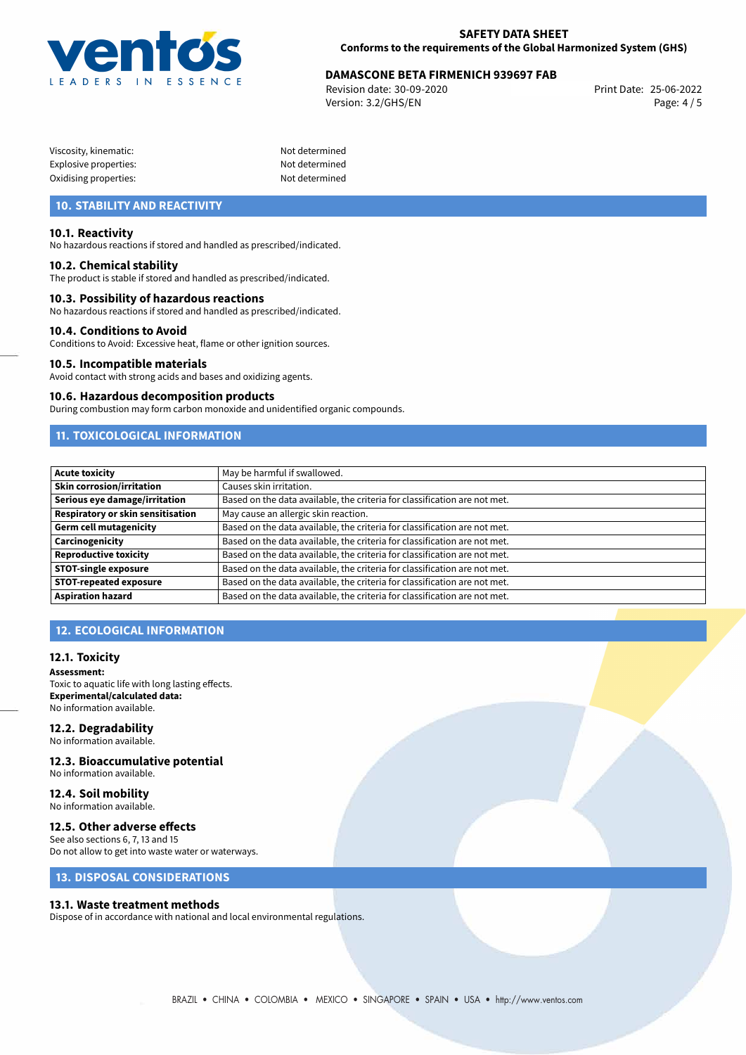

# **DAMASCONE BETA FIRMENICH 939697 FAB**<br>25-06-2022 Print Date: 25-06-2022

Revision date: 30-09-2020 Version: 3.2/GHS/EN Page: 4 / 5

| Viscosity, kinematic: |  |
|-----------------------|--|
| Explosive properties: |  |
| Oxidising properties: |  |

Not determined Not determined Not determined

# **10. STABILITY AND REACTIVITY**

## **10.1. Reactivity**

No hazardous reactions if stored and handled as prescribed/indicated.

### **10.2. Chemical stability**

The product is stable if stored and handled as prescribed/indicated.

## **10.3. Possibility of hazardous reactions**

No hazardous reactions if stored and handled as prescribed/indicated.

### **10.4. Conditions to Avoid**

Conditions to Avoid: Excessive heat, flame or other ignition sources.

### **10.5. Incompatible materials**

Avoid contact with strong acids and bases and oxidizing agents.

#### **10.6. Hazardous decomposition products**

During combustion may form carbon monoxide and unidentified organic compounds.

# **11. TOXICOLOGICAL INFORMATION**

| Acute toxicity                    | May be harmful if swallowed.                                              |
|-----------------------------------|---------------------------------------------------------------------------|
| <b>Skin corrosion/irritation</b>  | Causes skin irritation.                                                   |
| Serious eye damage/irritation     | Based on the data available, the criteria for classification are not met. |
| Respiratory or skin sensitisation | May cause an allergic skin reaction.                                      |
| Germ cell mutagenicity            | Based on the data available, the criteria for classification are not met. |
| <b>Carcinogenicity</b>            | Based on the data available, the criteria for classification are not met. |
| Reproductive toxicity             | Based on the data available, the criteria for classification are not met. |
| <b>STOT-single exposure</b>       | Based on the data available, the criteria for classification are not met. |
| <b>STOT-repeated exposure</b>     | Based on the data available, the criteria for classification are not met. |
| Aspiration hazard                 | Based on the data available, the criteria for classification are not met. |

# **12. ECOLOGICAL INFORMATION**

### **12.1. Toxicity**

**Assessment:** Toxic to aquatic life with long lasting effects. **Experimental/calculated data:** No information available.

## **12.2. Degradability**

No information available.

# **12.3. Bioaccumulative potential**

No information available.

#### **12.4. Soil mobility** No information available.

## **12.5. Other adverse effects**

See also sections 6, 7, 13 and 15 Do not allow to get into waste water or waterways.

# **13. DISPOSAL CONSIDERATIONS**

## **13.1. Waste treatment methods**

Dispose of in accordance with national and local environmental regulations.